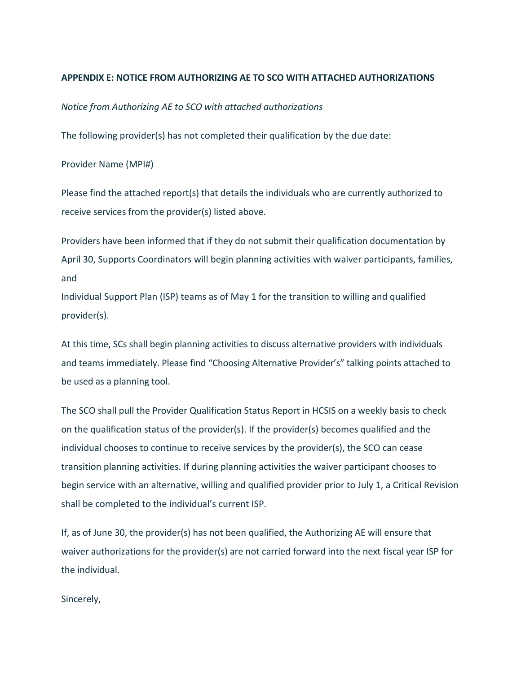## **APPENDIX E: NOTICE FROM AUTHORIZING AE TO SCO WITH ATTACHED AUTHORIZATIONS**

*Notice from Authorizing AE to SCO with attached authorizations*

The following provider(s) has not completed their qualification by the due date:

Provider Name (MPI#)

Please find the attached report(s) that details the individuals who are currently authorized to receive services from the provider(s) listed above.

Providers have been informed that if they do not submit their qualification documentation by April 30, Supports Coordinators will begin planning activities with waiver participants, families, and

Individual Support Plan (ISP) teams as of May 1 for the transition to willing and qualified provider(s).

At this time, SCs shall begin planning activities to discuss alternative providers with individuals and teams immediately. Please find "Choosing Alternative Provider's" talking points attached to be used as a planning tool.

The SCO shall pull the Provider Qualification Status Report in HCSIS on a weekly basis to check on the qualification status of the provider(s). If the provider(s) becomes qualified and the individual chooses to continue to receive services by the provider(s), the SCO can cease transition planning activities. If during planning activities the waiver participant chooses to begin service with an alternative, willing and qualified provider prior to July 1, a Critical Revision shall be completed to the individual's current ISP.

If, as of June 30, the provider(s) has not been qualified, the Authorizing AE will ensure that waiver authorizations for the provider(s) are not carried forward into the next fiscal year ISP for the individual.

Sincerely,